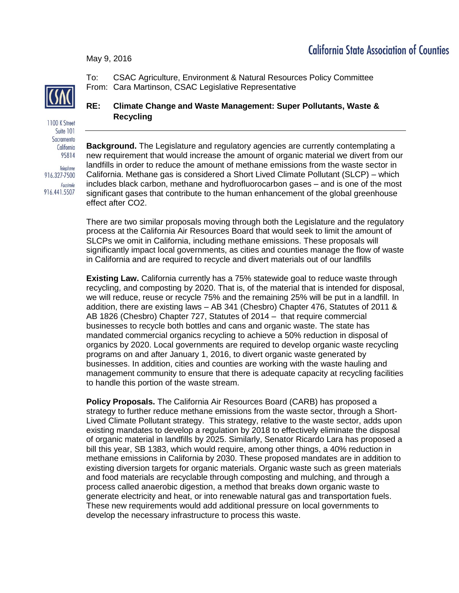## **California State Association of Counties**

May 9, 2016



To: CSAC Agriculture, Environment & Natural Resources Policy Committee From: Cara Martinson, CSAC Legislative Representative

1100 K Street Suite 101 Sacramento California 95814 Telephone 916.327-7500 Facsimile 916.441.5507

## **RE: Climate Change and Waste Management: Super Pollutants, Waste & Recycling**

**Background.** The Legislature and regulatory agencies are currently contemplating a new requirement that would increase the amount of organic material we divert from our landfills in order to reduce the amount of methane emissions from the waste sector in California. Methane gas is considered a Short Lived Climate Pollutant (SLCP) – which includes black carbon, methane and hydrofluorocarbon gases – and is one of the most significant gases that contribute to the human enhancement of the global greenhouse effect after CO2.

There are two similar proposals moving through both the Legislature and the regulatory process at the California Air Resources Board that would seek to limit the amount of SLCPs we omit in California, including methane emissions. These proposals will significantly impact local governments, as cities and counties manage the flow of waste in California and are required to recycle and divert materials out of our landfills

**Existing Law.** California currently has a 75% statewide goal to reduce waste through recycling, and composting by 2020. That is, of the material that is intended for disposal, we will reduce, reuse or recycle 75% and the remaining 25% will be put in a landfill. In addition, there are existing laws – AB 341 (Chesbro) Chapter 476, Statutes of 2011 & AB 1826 (Chesbro) Chapter 727, Statutes of 2014 – that require commercial businesses to recycle both bottles and cans and organic waste. The state has mandated commercial organics recycling to achieve a 50% reduction in disposal of organics by 2020. Local governments are required to develop organic waste recycling programs on and after January 1, 2016, to divert organic waste generated by businesses. In addition, cities and counties are working with the waste hauling and management community to ensure that there is adequate capacity at recycling facilities to handle this portion of the waste stream.

**Policy Proposals.** The California Air Resources Board (CARB) has proposed a strategy to further reduce methane emissions from the waste sector, through a Short-Lived Climate Pollutant strategy. This strategy, relative to the waste sector, adds upon existing mandates to develop a regulation by 2018 to effectively eliminate the disposal of organic material in landfills by 2025. Similarly, Senator Ricardo Lara has proposed a bill this year, SB 1383, which would require, among other things, a 40% reduction in methane emissions in California by 2030. These proposed mandates are in addition to existing diversion targets for organic materials. Organic waste such as green materials and food materials are recyclable through composting and mulching, and through a process called anaerobic digestion, a method that breaks down organic waste to generate electricity and heat, or into renewable natural gas and transportation fuels. These new requirements would add additional pressure on local governments to develop the necessary infrastructure to process this waste.